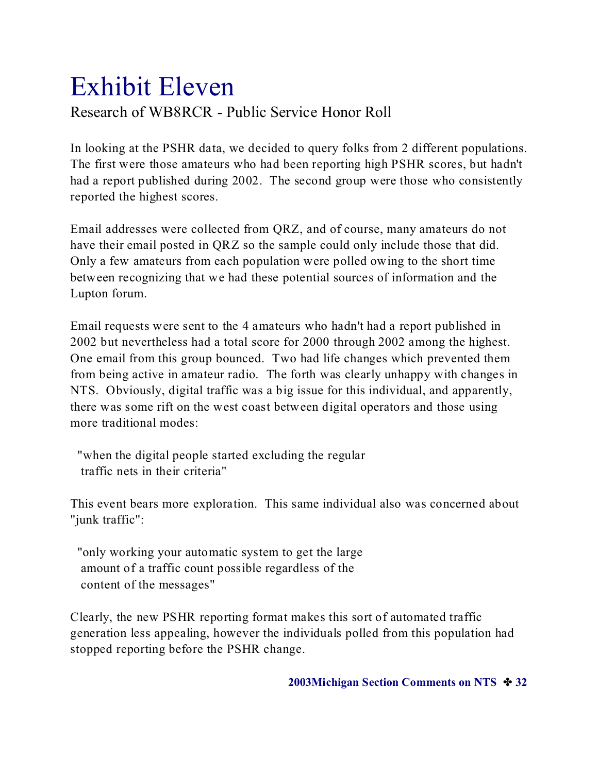## Exhibit Eleven Research of WB8RCR - Public Service Honor Roll

In looking at the PSHR data, we decided to query folks from 2 different populations. The first were those amateurs who had been reporting high PSHR scores, but hadn't had a report published during 2002. The second group were those who consistently reported the highest scores.

Email addresses were collected from QRZ, and of course, many amateurs do not have their email posted in QRZ so the sample could only include those that did. Only a few amateurs from each population were polled owing to the short time between recognizing that we had these potential sources of information and the Lupton forum.

Email requests were sent to the 4 amateurs who hadn't had a report published in 2002 but nevertheless had a total score for 2000 through 2002 among the highest. One email from this group bounced. Two had life changes which prevented them from being active in amateur radio. The forth was clearly unhappy with changes in NTS. Obviously, digital traffic was a big issue for this individual, and apparently, there was some rift on the west coast between digital operators and those using more traditional modes:

 "when the digital people started excluding the regular traffic nets in their criteria"

This event bears more exploration. This same individual also was concerned about "junk traffic":

 "only working your automatic system to get the large amount of a traffic count possible regardless of the content of the messages"

Clearly, the new PSHR reporting format makes this sort of automated traffic generation less appealing, however the individuals polled from this population had stopped reporting before the PSHR change.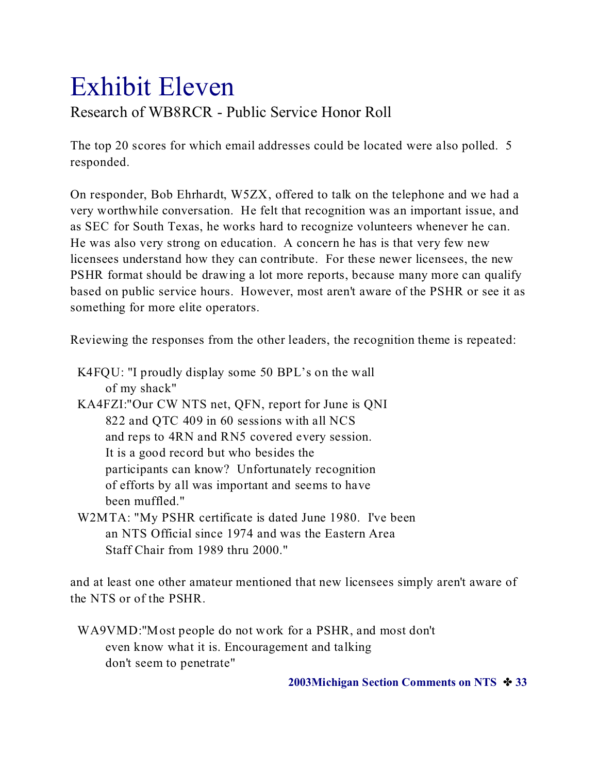### Exhibit Eleven Research of WB8RCR - Public Service Honor Roll

The top 20 scores for which email addresses could be located were also polled. 5 responded.

On responder, Bob Ehrhardt, W5ZX, offered to talk on the telephone and we had a very worthwhile conversation. He felt that recognition was an important issue, and as SEC for South Texas, he works hard to recognize volunteers whenever he can. He was also very strong on education. A concern he has is that very few new licensees understand how they can contribute. For these newer licensees, the new PSHR format should be drawing a lot more reports, because many more can qualify based on public service hours. However, most aren't aware of the PSHR or see it as something for more elite operators.

Reviewing the responses from the other leaders, the recognition theme is repeated:

 K4FQU: "I proudly display some 50 BPL's on the wall of my shack" KA4FZI:"Our CW NTS net, QFN, report for June is QNI 822 and QTC 409 in 60 sessions with all NCS and reps to 4RN and RN5 covered every session. It is a good record but who besides the participants can know? Unfortunately recognition of efforts by all was important and seems to have been muffled." W2MTA: "My PSHR certificate is dated June 1980. I've been

 an NTS Official since 1974 and was the Eastern Area Staff Chair from 1989 thru 2000."

and at least one other amateur mentioned that new licensees simply aren't aware of the NTS or of the PSHR.

 WA9VMD:"Most people do not work for a PSHR, and most don't even know what it is. Encouragement and talking don't seem to penetrate"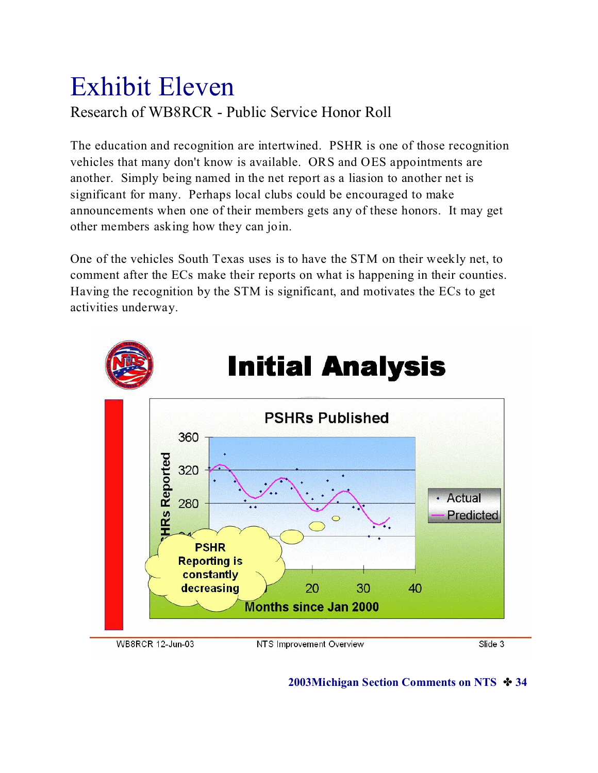## Exhibit Eleven Research of WB8RCR - Public Service Honor Roll

The education and recognition are intertwined. PSHR is one of those recognition vehicles that many don't know is available. ORS and OES appointments are another. Simply being named in the net report as a liasion to another net is significant for many. Perhaps local clubs could be encouraged to make announcements when one of their members gets any of these honors. It may get other members asking how they can join.

One of the vehicles South Texas uses is to have the STM on their weekly net, to comment after the ECs make their reports on what is happening in their counties. Having the recognition by the STM is significant, and motivates the ECs to get activities underway.



**2003Michigan Section Comments on NTS**  $\div$  **34**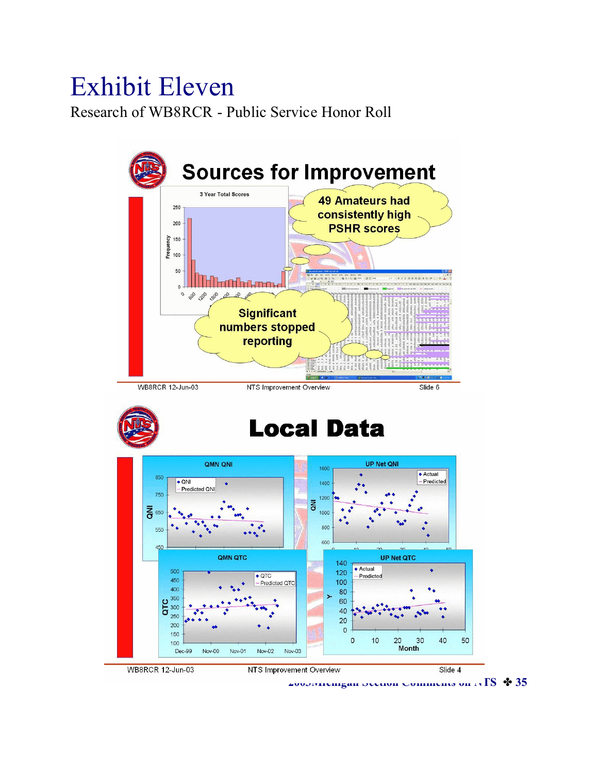## Exhibit Eleven

Research of WB8RCR - Public Service Honor Roll

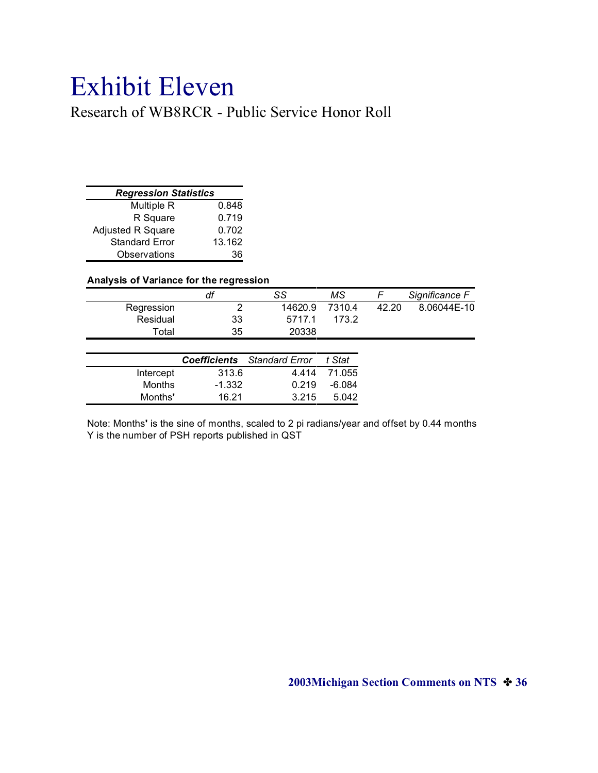## Exhibit Eleven

Research of WB8RCR - Public Service Honor Roll

| <b>Regression Statistics</b> |        |
|------------------------------|--------|
| Multiple R                   | 0.848  |
| R Square                     | 0.719  |
| <b>Adjusted R Square</b>     | 0.702  |
| <b>Standard Error</b>        | 13.162 |
| Observations                 | 36     |

#### **Analysis of Variance for the regression**

|            | dt | SS      | ΜS     |       | Significance F |
|------------|----|---------|--------|-------|----------------|
| Regression |    | 14620.9 | 7310.4 | 42.20 | 8.06044E-10    |
| Residual   | 33 | 5717.1  | 173.2  |       |                |
| Total      | 35 | 20338   |        |       |                |

|               |          | <b>Coefficients</b> Standard Error | t Stat       |
|---------------|----------|------------------------------------|--------------|
| Intercept     | 313.6    |                                    | 4.414 71.055 |
| <b>Months</b> | $-1.332$ | 0.219                              | -6.084       |
| Months'       | 16.21    | 3 2 1 5                            | 5.042        |
|               |          |                                    |              |

Note: Months**'** is the sine of months, scaled to 2 pi radians/year and offset by 0.44 months Y is the number of PSH reports published in QST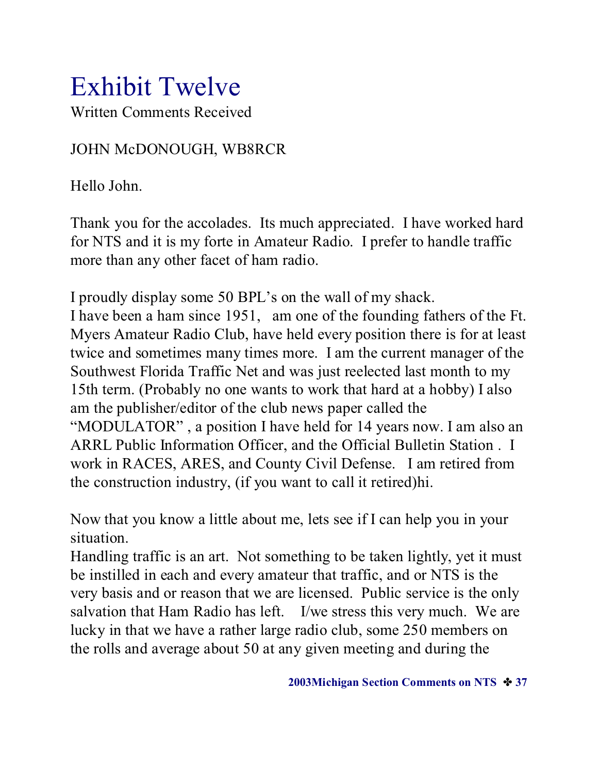Written Comments Received

### JOHN McDONOUGH, WB8RCR

Hello John.

Thank you for the accolades. Its much appreciated. I have worked hard for NTS and it is my forte in Amateur Radio. I prefer to handle traffic more than any other facet of ham radio.

I proudly display some 50 BPL's on the wall of my shack. I have been a ham since 1951, am one of the founding fathers of the Ft. Myers Amateur Radio Club, have held every position there is for at least twice and sometimes many times more. I am the current manager of the Southwest Florida Traffic Net and was just reelected last month to my 15th term. (Probably no one wants to work that hard at a hobby) I also am the publisher/editor of the club news paper called the "MODULATOR" , a position I have held for 14 years now. I am also an ARRL Public Information Officer, and the Official Bulletin Station . I work in RACES, ARES, and County Civil Defense. I am retired from the construction industry, (if you want to call it retired)hi.

Now that you know a little about me, lets see if I can help you in your situation.

Handling traffic is an art. Not something to be taken lightly, yet it must be instilled in each and every amateur that traffic, and or NTS is the very basis and or reason that we are licensed. Public service is the only salvation that Ham Radio has left. I/we stress this very much. We are lucky in that we have a rather large radio club, some 250 members on the rolls and average about 50 at any given meeting and during the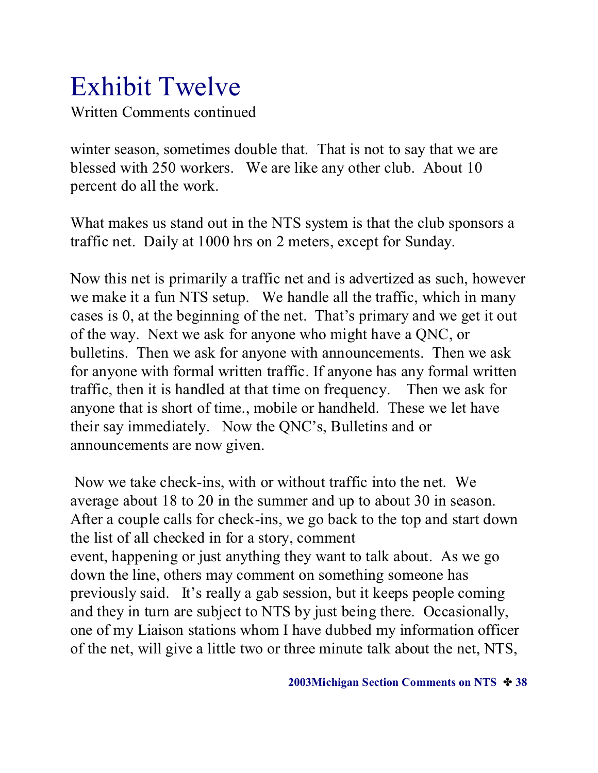Written Comments continued

winter season, sometimes double that. That is not to say that we are blessed with 250 workers. We are like any other club. About 10 percent do all the work.

What makes us stand out in the NTS system is that the club sponsors a traffic net. Daily at 1000 hrs on 2 meters, except for Sunday.

Now this net is primarily a traffic net and is advertized as such, however we make it a fun NTS setup. We handle all the traffic, which in many cases is 0, at the beginning of the net. That's primary and we get it out of the way. Next we ask for anyone who might have a QNC, or bulletins. Then we ask for anyone with announcements. Then we ask for anyone with formal written traffic. If anyone has any formal written traffic, then it is handled at that time on frequency. Then we ask for anyone that is short of time., mobile or handheld. These we let have their say immediately. Now the QNC's, Bulletins and or announcements are now given.

 Now we take check-ins, with or without traffic into the net. We average about 18 to 20 in the summer and up to about 30 in season. After a couple calls for check-ins, we go back to the top and start down the list of all checked in for a story, comment event, happening or just anything they want to talk about. As we go down the line, others may comment on something someone has previously said. It's really a gab session, but it keeps people coming and they in turn are subject to NTS by just being there. Occasionally, one of my Liaison stations whom I have dubbed my information officer of the net, will give a little two or three minute talk about the net, NTS,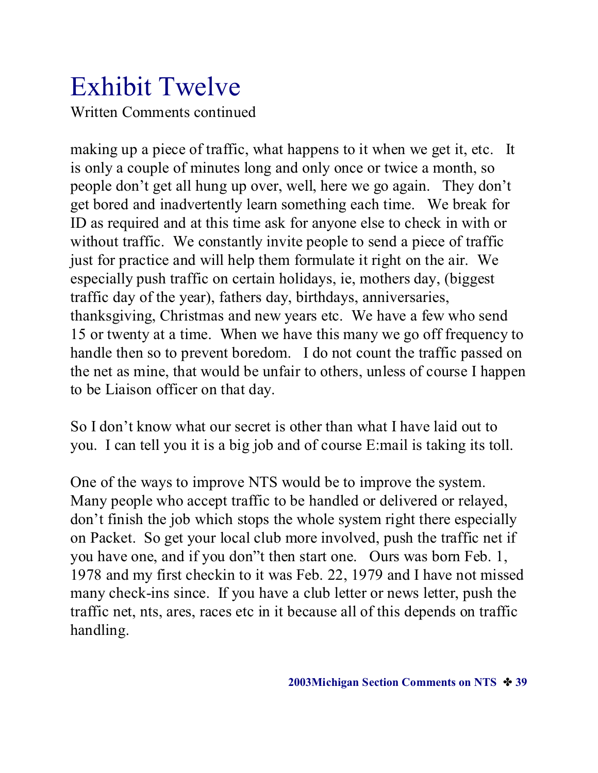### Exhibit Twelve Written Comments continued

making up a piece of traffic, what happens to it when we get it, etc. It is only a couple of minutes long and only once or twice a month, so people don't get all hung up over, well, here we go again. They don't get bored and inadvertently learn something each time. We break for ID as required and at this time ask for anyone else to check in with or without traffic. We constantly invite people to send a piece of traffic just for practice and will help them formulate it right on the air. We especially push traffic on certain holidays, ie, mothers day, (biggest traffic day of the year), fathers day, birthdays, anniversaries, thanksgiving, Christmas and new years etc. We have a few who send 15 or twenty at a time. When we have this many we go off frequency to handle then so to prevent boredom. I do not count the traffic passed on the net as mine, that would be unfair to others, unless of course I happen to be Liaison officer on that day.

So I don't know what our secret is other than what I have laid out to you. I can tell you it is a big job and of course E:mail is taking its toll.

One of the ways to improve NTS would be to improve the system. Many people who accept traffic to be handled or delivered or relayed, don't finish the job which stops the whole system right there especially on Packet. So get your local club more involved, push the traffic net if you have one, and if you don"t then start one. Ours was born Feb. 1, 1978 and my first checkin to it was Feb. 22, 1979 and I have not missed many check-ins since. If you have a club letter or news letter, push the traffic net, nts, ares, races etc in it because all of this depends on traffic handling.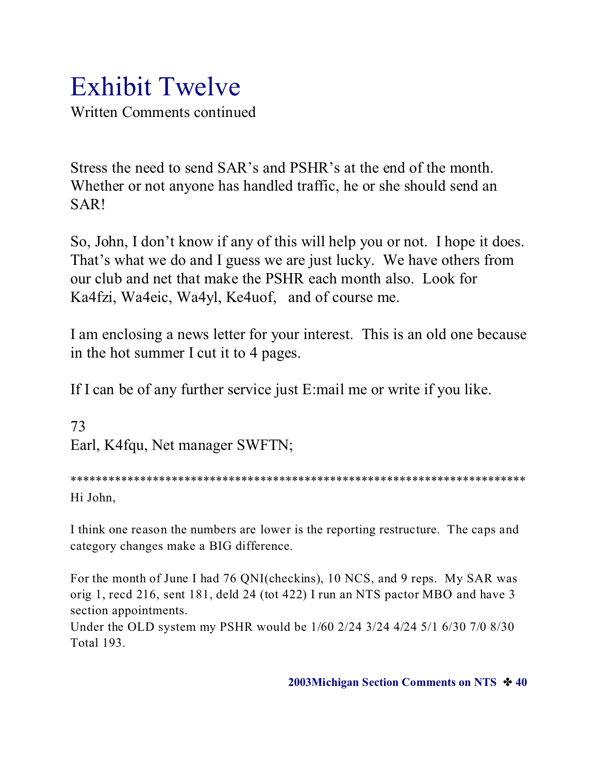Written Comments continued

Stress the need to send SAR's and PSHR's at the end of the month. Whether or not anyone has handled traffic, he or she should send an SAR!

So, John, I don't know if any of this will help you or not. I hope it does. That's what we do and I guess we are just lucky. We have others from our club and net that make the PSHR each month also. Look for Ka4fzi, Wa4eic, Wa4yl, Ke4uof, and of course me.

I am enclosing a news letter for your interest. This is an old one because in the hot summer I cut it to 4 pages.

If I can be of any further service just E:mail me or write if you like.

73 Earl, K4fqu, Net manager SWFTN;

\*\*\*\*\*\*\*\*\*\*\*\*\*\*\*\*\*\*\*\*\*\*\*\*\*\*\*\*\*\*\*\*\*\*\*\*\*\*\*\*\*\*\*\*\*\*\*\*\*\*\*\*\*\*\*\*\*\*\*\*\*\*\*\*\*\*\*\*\*\*\*\* Hi John,

I think one reason the numbers are lower is the reporting restructure. The caps and category changes make a BIG difference.

For the month of June I had 76 QNI(checkins), 10 NCS, and 9 reps. My SAR was orig 1, recd 216, sent 181, deld 24 (tot 422) I run an NTS pactor MBO and have 3 section appointments.

Under the OLD system my PSHR would be 1/60 2/24 3/24 4/24 5/1 6/30 7/0 8/30 Total 193.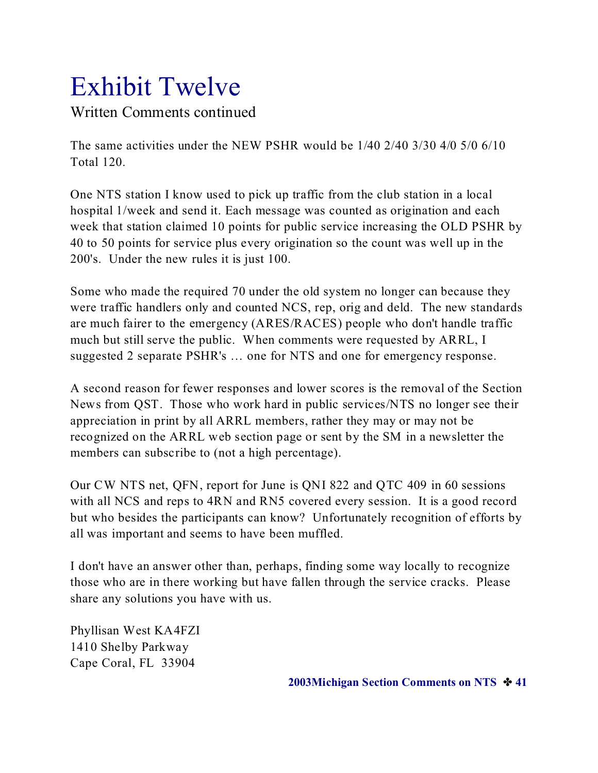Written Comments continued

The same activities under the NEW PSHR would be 1/40 2/40 3/30 4/0 5/0 6/10 Total 120.

One NTS station I know used to pick up traffic from the club station in a local hospital 1/week and send it. Each message was counted as origination and each week that station claimed 10 points for public service increasing the OLD PSHR by 40 to 50 points for service plus every origination so the count was well up in the 200's. Under the new rules it is just 100.

Some who made the required 70 under the old system no longer can because they were traffic handlers only and counted NCS, rep, orig and deld. The new standards are much fairer to the emergency (ARES/RACES) people who don't handle traffic much but still serve the public. When comments were requested by ARRL, I suggested 2 separate PSHR's … one for NTS and one for emergency response.

A second reason for fewer responses and lower scores is the removal of the Section News from QST. Those who work hard in public services/NTS no longer see their appreciation in print by all ARRL members, rather they may or may not be recognized on the ARRL web section page or sent by the SM in a newsletter the members can subscribe to (not a high percentage).

Our CW NTS net, QFN, report for June is QNI 822 and QTC 409 in 60 sessions with all NCS and reps to 4RN and RN5 covered every session. It is a good record but who besides the participants can know? Unfortunately recognition of efforts by all was important and seems to have been muffled.

I don't have an answer other than, perhaps, finding some way locally to recognize those who are in there working but have fallen through the service cracks. Please share any solutions you have with us.

Phyllisan West KA4FZI 1410 Shelby Parkway Cape Coral, FL 33904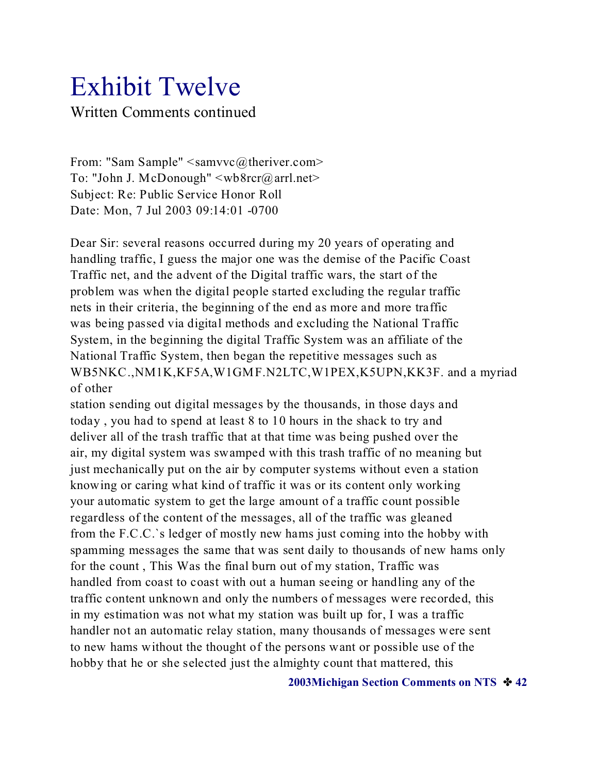### Exhibit Twelve Written Comments continued

From: "Sam Sample" <samvvc@theriver.com> To: "John J. McDonough" <wb8rcr@arrl.net> Subject: Re: Public Service Honor Roll Date: Mon, 7 Jul 2003 09:14:01 -0700

Dear Sir: several reasons occurred during my 20 years of operating and handling traffic, I guess the major one was the demise of the Pacific Coast Traffic net, and the advent of the Digital traffic wars, the start of the problem was when the digital people started excluding the regular traffic nets in their criteria, the beginning of the end as more and more traffic was being passed via digital methods and excluding the National Traffic System, in the beginning the digital Traffic System was an affiliate of the National Traffic System, then began the repetitive messages such as WB5NKC.,NM1K,KF5A,W1GMF.N2LTC,W1PEX,K5UPN,KK3F. and a myriad of other

station sending out digital messages by the thousands, in those days and today , you had to spend at least 8 to 10 hours in the shack to try and deliver all of the trash traffic that at that time was being pushed over the air, my digital system was swamped with this trash traffic of no meaning but just mechanically put on the air by computer systems without even a station knowing or caring what kind of traffic it was or its content only working your automatic system to get the large amount of a traffic count possible regardless of the content of the messages, all of the traffic was gleaned from the F.C.C.`s ledger of mostly new hams just coming into the hobby with spamming messages the same that was sent daily to thousands of new hams only for the count , This Was the final burn out of my station, Traffic was handled from coast to coast with out a human seeing or handling any of the traffic content unknown and only the numbers of messages were recorded, this in my estimation was not what my station was built up for, I was a traffic handler not an automatic relay station, many thousands of messages were sent to new hams without the thought of the persons want or possible use of the hobby that he or she selected just the almighty count that mattered, this